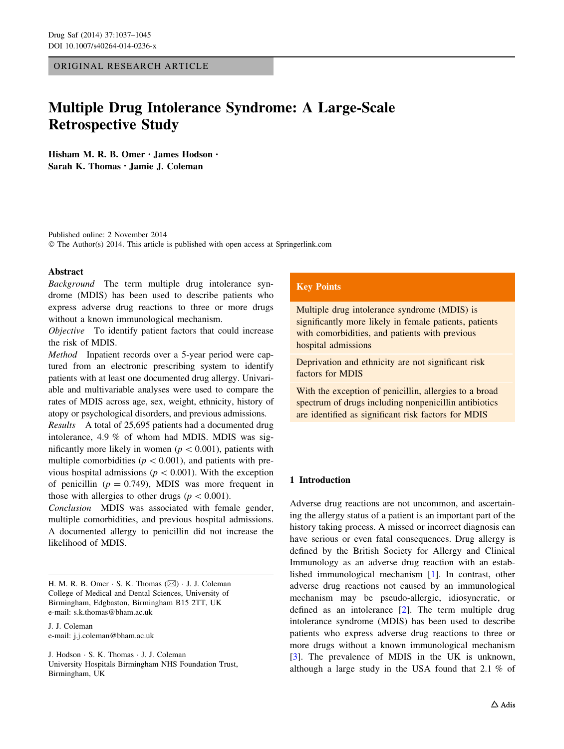ORIGINAL RESEARCH ARTICLE

# Multiple Drug Intolerance Syndrome: A Large-Scale Retrospective Study

Hisham M. R. B. Omer • James Hodson • Sarah K. Thomas • Jamie J. Coleman

Published online: 2 November 2014 © The Author(s) 2014. This article is published with open access at Springerlink.com

### Abstract

Background The term multiple drug intolerance syndrome (MDIS) has been used to describe patients who express adverse drug reactions to three or more drugs without a known immunological mechanism.

Objective To identify patient factors that could increase the risk of MDIS.

Method Inpatient records over a 5-year period were captured from an electronic prescribing system to identify patients with at least one documented drug allergy. Univariable and multivariable analyses were used to compare the rates of MDIS across age, sex, weight, ethnicity, history of atopy or psychological disorders, and previous admissions.

Results A total of 25,695 patients had a documented drug intolerance, 4.9 % of whom had MDIS. MDIS was significantly more likely in women ( $p < 0.001$ ), patients with multiple comorbidities ( $p<0.001$ ), and patients with previous hospital admissions ( $p < 0.001$ ). With the exception of penicillin ( $p = 0.749$ ), MDIS was more frequent in those with allergies to other drugs ( $p < 0.001$ ).

Conclusion MDIS was associated with female gender, multiple comorbidities, and previous hospital admissions. A documented allergy to penicillin did not increase the likelihood of MDIS.

H. M. R. B. Omer  $\cdot$  S. K. Thomas ( $\boxtimes$ )  $\cdot$  J. J. Coleman College of Medical and Dental Sciences, University of Birmingham, Edgbaston, Birmingham B15 2TT, UK e-mail: s.k.thomas@bham.ac.uk

J. J. Coleman e-mail: j.j.coleman@bham.ac.uk

J. Hodson - S. K. Thomas - J. J. Coleman University Hospitals Birmingham NHS Foundation Trust, Birmingham, UK

## Key Points

Multiple drug intolerance syndrome (MDIS) is significantly more likely in female patients, patients with comorbidities, and patients with previous hospital admissions

Deprivation and ethnicity are not significant risk factors for MDIS

With the exception of penicillin, allergies to a broad spectrum of drugs including nonpenicillin antibiotics are identified as significant risk factors for MDIS

## 1 Introduction

Adverse drug reactions are not uncommon, and ascertaining the allergy status of a patient is an important part of the history taking process. A missed or incorrect diagnosis can have serious or even fatal consequences. Drug allergy is defined by the British Society for Allergy and Clinical Immunology as an adverse drug reaction with an established immunological mechanism [\[1](#page-7-0)]. In contrast, other adverse drug reactions not caused by an immunological mechanism may be pseudo-allergic, idiosyncratic, or defined as an intolerance [\[2](#page-7-0)]. The term multiple drug intolerance syndrome (MDIS) has been used to describe patients who express adverse drug reactions to three or more drugs without a known immunological mechanism [\[3](#page-7-0)]. The prevalence of MDIS in the UK is unknown, although a large study in the USA found that 2.1 % of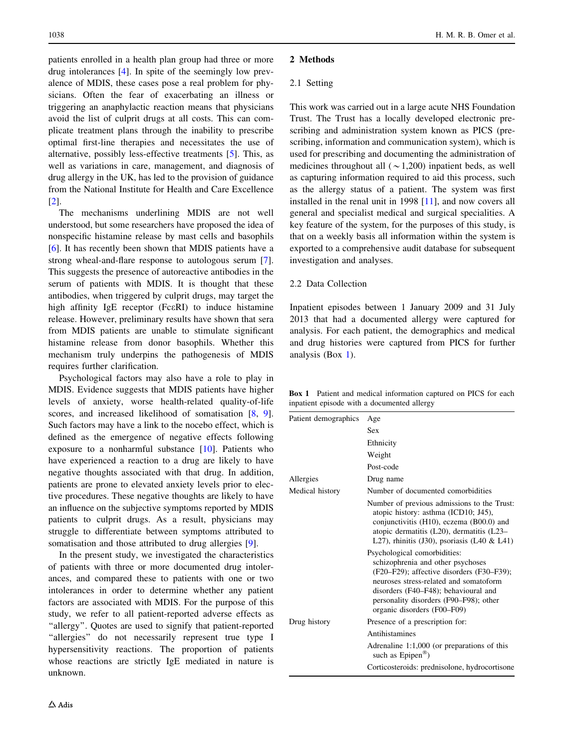<span id="page-1-0"></span>patients enrolled in a health plan group had three or more drug intolerances [\[4](#page-7-0)]. In spite of the seemingly low prevalence of MDIS, these cases pose a real problem for physicians. Often the fear of exacerbating an illness or triggering an anaphylactic reaction means that physicians avoid the list of culprit drugs at all costs. This can complicate treatment plans through the inability to prescribe optimal first-line therapies and necessitates the use of alternative, possibly less-effective treatments [\[5](#page-7-0)]. This, as well as variations in care, management, and diagnosis of drug allergy in the UK, has led to the provision of guidance from the National Institute for Health and Care Excellence [\[2](#page-7-0)].

The mechanisms underlining MDIS are not well understood, but some researchers have proposed the idea of nonspecific histamine release by mast cells and basophils [\[6](#page-7-0)]. It has recently been shown that MDIS patients have a strong wheal-and-flare response to autologous serum [\[7](#page-7-0)]. This suggests the presence of autoreactive antibodies in the serum of patients with MDIS. It is thought that these antibodies, when triggered by culprit drugs, may target the high affinity IgE receptor (FceRI) to induce histamine release. However, preliminary results have shown that sera from MDIS patients are unable to stimulate significant histamine release from donor basophils. Whether this mechanism truly underpins the pathogenesis of MDIS requires further clarification.

Psychological factors may also have a role to play in MDIS. Evidence suggests that MDIS patients have higher levels of anxiety, worse health-related quality-of-life scores, and increased likelihood of somatisation [[8,](#page-7-0) [9](#page-7-0)]. Such factors may have a link to the nocebo effect, which is defined as the emergence of negative effects following exposure to a nonharmful substance [\[10](#page-7-0)]. Patients who have experienced a reaction to a drug are likely to have negative thoughts associated with that drug. In addition, patients are prone to elevated anxiety levels prior to elective procedures. These negative thoughts are likely to have an influence on the subjective symptoms reported by MDIS patients to culprit drugs. As a result, physicians may struggle to differentiate between symptoms attributed to somatisation and those attributed to drug allergies [\[9](#page-7-0)].

In the present study, we investigated the characteristics of patients with three or more documented drug intolerances, and compared these to patients with one or two intolerances in order to determine whether any patient factors are associated with MDIS. For the purpose of this study, we refer to all patient-reported adverse effects as "allergy". Quotes are used to signify that patient-reported "allergies" do not necessarily represent true type I hypersensitivity reactions. The proportion of patients whose reactions are strictly IgE mediated in nature is unknown.

## 2 Methods

## 2.1 Setting

This work was carried out in a large acute NHS Foundation Trust. The Trust has a locally developed electronic prescribing and administration system known as PICS (prescribing, information and communication system), which is used for prescribing and documenting the administration of medicines throughout all  $(\sim 1,200)$  inpatient beds, as well as capturing information required to aid this process, such as the allergy status of a patient. The system was first installed in the renal unit in 1998 [\[11](#page-7-0)], and now covers all general and specialist medical and surgical specialities. A key feature of the system, for the purposes of this study, is that on a weekly basis all information within the system is exported to a comprehensive audit database for subsequent investigation and analyses.

## 2.2 Data Collection

Inpatient episodes between 1 January 2009 and 31 July 2013 that had a documented allergy were captured for analysis. For each patient, the demographics and medical and drug histories were captured from PICS for further analysis (Box 1).

Box 1 Patient and medical information captured on PICS for each inpatient episode with a documented allergy

| Patient demographics | Age                                                                                                                                                                                                                                                                       |
|----------------------|---------------------------------------------------------------------------------------------------------------------------------------------------------------------------------------------------------------------------------------------------------------------------|
|                      | Sex                                                                                                                                                                                                                                                                       |
|                      | Ethnicity                                                                                                                                                                                                                                                                 |
|                      | Weight                                                                                                                                                                                                                                                                    |
|                      | Post-code                                                                                                                                                                                                                                                                 |
| Allergies            | Drug name                                                                                                                                                                                                                                                                 |
| Medical history      | Number of documented comorbidities                                                                                                                                                                                                                                        |
|                      | Number of previous admissions to the Trust:<br>atopic history: asthma (ICD10; J45),<br>conjunctivitis (H10), eczema (B00.0) and<br>atopic dermatitis $(L20)$ , dermatitis $(L23-$<br>L27), rhinitis $(J30)$ , psoriasis $(L40 \& L41)$                                    |
|                      | Psychological comorbidities:<br>schizophrenia and other psychoses<br>(F20–F29); affective disorders (F30–F39);<br>neuroses stress-related and somatoform<br>disorders (F40–F48); behavioural and<br>personality disorders (F90–F98); other<br>organic disorders (F00–F09) |
| Drug history         | Presence of a prescription for:                                                                                                                                                                                                                                           |
|                      | Antihistamines                                                                                                                                                                                                                                                            |
|                      | Adrenaline 1:1,000 (or preparations of this<br>such as $Epipen^{\circledR})$                                                                                                                                                                                              |
|                      | Corticosteroids: prednisolone, hydrocortisone                                                                                                                                                                                                                             |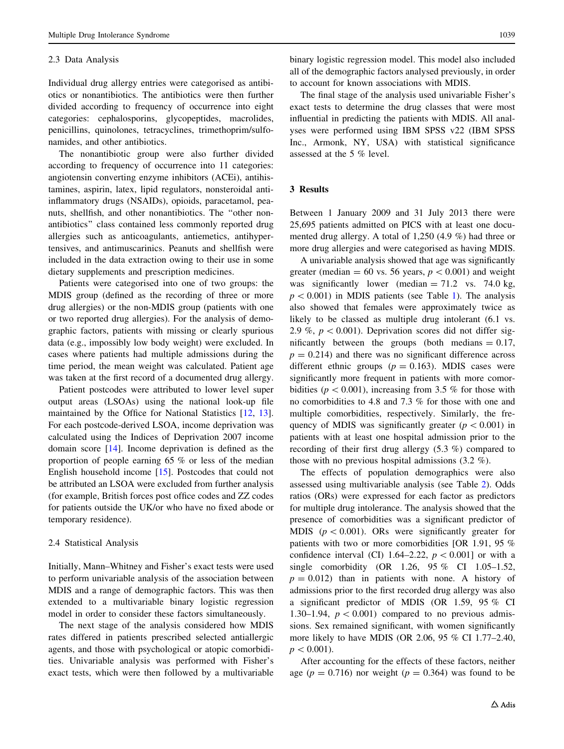#### 2.3 Data Analysis

Individual drug allergy entries were categorised as antibiotics or nonantibiotics. The antibiotics were then further divided according to frequency of occurrence into eight categories: cephalosporins, glycopeptides, macrolides, penicillins, quinolones, tetracyclines, trimethoprim/sulfonamides, and other antibiotics.

The nonantibiotic group were also further divided according to frequency of occurrence into 11 categories: angiotensin converting enzyme inhibitors (ACEi), antihistamines, aspirin, latex, lipid regulators, nonsteroidal antiinflammatory drugs (NSAIDs), opioids, paracetamol, peanuts, shellfish, and other nonantibiotics. The ''other nonantibiotics'' class contained less commonly reported drug allergies such as anticoagulants, antiemetics, antihypertensives, and antimuscarinics. Peanuts and shellfish were included in the data extraction owing to their use in some dietary supplements and prescription medicines.

Patients were categorised into one of two groups: the MDIS group (defined as the recording of three or more drug allergies) or the non-MDIS group (patients with one or two reported drug allergies). For the analysis of demographic factors, patients with missing or clearly spurious data (e.g., impossibly low body weight) were excluded. In cases where patients had multiple admissions during the time period, the mean weight was calculated. Patient age was taken at the first record of a documented drug allergy.

Patient postcodes were attributed to lower level super output areas (LSOAs) using the national look-up file maintained by the Office for National Statistics [[12,](#page-7-0) [13](#page-7-0)]. For each postcode-derived LSOA, income deprivation was calculated using the Indices of Deprivation 2007 income domain score [\[14](#page-7-0)]. Income deprivation is defined as the proportion of people earning 65 % or less of the median English household income [\[15](#page-8-0)]. Postcodes that could not be attributed an LSOA were excluded from further analysis (for example, British forces post office codes and ZZ codes for patients outside the UK/or who have no fixed abode or temporary residence).

#### 2.4 Statistical Analysis

Initially, Mann–Whitney and Fisher's exact tests were used to perform univariable analysis of the association between MDIS and a range of demographic factors. This was then extended to a multivariable binary logistic regression model in order to consider these factors simultaneously.

The next stage of the analysis considered how MDIS rates differed in patients prescribed selected antiallergic agents, and those with psychological or atopic comorbidities. Univariable analysis was performed with Fisher's exact tests, which were then followed by a multivariable

binary logistic regression model. This model also included all of the demographic factors analysed previously, in order to account for known associations with MDIS.

The final stage of the analysis used univariable Fisher's exact tests to determine the drug classes that were most influential in predicting the patients with MDIS. All analyses were performed using IBM SPSS v22 (IBM SPSS Inc., Armonk, NY, USA) with statistical significance assessed at the 5 % level.

## 3 Results

Between 1 January 2009 and 31 July 2013 there were 25,695 patients admitted on PICS with at least one documented drug allergy. A total of 1,250 (4.9 %) had three or more drug allergies and were categorised as having MDIS.

A univariable analysis showed that age was significantly greater (median = 60 vs. 56 years,  $p < 0.001$ ) and weight was significantly lower (median  $= 71.2$  vs. 74.0 kg,  $p < 0.001$  $p < 0.001$ ) in MDIS patients (see Table 1). The analysis also showed that females were approximately twice as likely to be classed as multiple drug intolerant  $(6.1 \text{ vs.})$ 2.9 %,  $p < 0.001$ ). Deprivation scores did not differ significantly between the groups (both medians  $= 0.17$ ,  $p = 0.214$ ) and there was no significant difference across different ethnic groups  $(p = 0.163)$ . MDIS cases were significantly more frequent in patients with more comorbidities ( $p < 0.001$ ), increasing from 3.5 % for those with no comorbidities to 4.8 and 7.3 % for those with one and multiple comorbidities, respectively. Similarly, the frequency of MDIS was significantly greater ( $p < 0.001$ ) in patients with at least one hospital admission prior to the recording of their first drug allergy (5.3 %) compared to those with no previous hospital admissions (3.2 %).

The effects of population demographics were also assessed using multivariable analysis (see Table [2\)](#page-3-0). Odds ratios (ORs) were expressed for each factor as predictors for multiple drug intolerance. The analysis showed that the presence of comorbidities was a significant predictor of MDIS ( $p < 0.001$ ). ORs were significantly greater for patients with two or more comorbidities [OR 1.91, 95 % confidence interval (CI) 1.64–2.22,  $p < 0.001$  or with a single comorbidity (OR 1.26, 95 % CI 1.05–1.52,  $p = 0.012$ ) than in patients with none. A history of admissions prior to the first recorded drug allergy was also a significant predictor of MDIS (OR 1.59, 95 % CI 1.30–1.94,  $p < 0.001$ ) compared to no previous admissions. Sex remained significant, with women significantly more likely to have MDIS (OR 2.06, 95 % CI 1.77–2.40,  $p<0.001$ ).

After accounting for the effects of these factors, neither age ( $p = 0.716$ ) nor weight ( $p = 0.364$ ) was found to be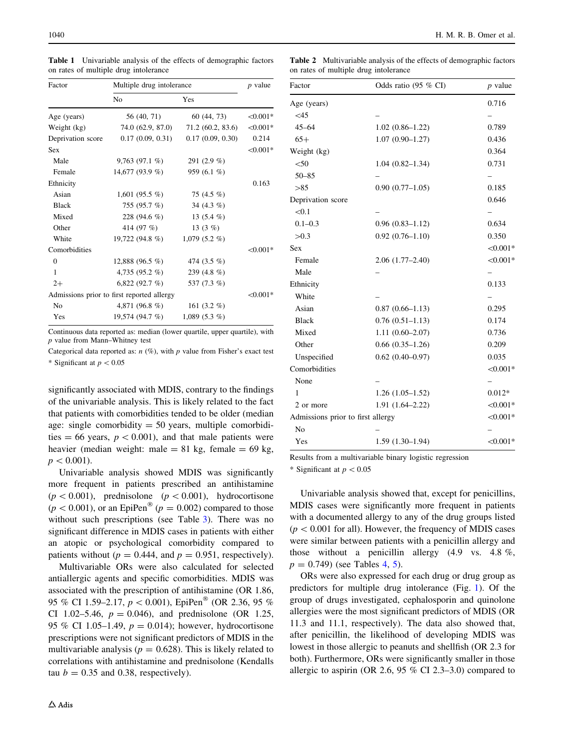| Factor                                     | Multiple drug intolerance | $p$ value        |            |
|--------------------------------------------|---------------------------|------------------|------------|
|                                            | No                        | Yes              |            |
| Age (years)                                | 56 (40, 71)               | 60 (44, 73)      | $< 0.001*$ |
| Weight (kg)                                | 74.0 (62.9, 87.0)         | 71.2(60.2, 83.6) | $< 0.001*$ |
| Deprivation score                          | 0.17(0.09, 0.31)          | 0.17(0.09, 0.30) | 0.214      |
| <b>Sex</b>                                 |                           |                  | $< 0.001*$ |
| Male                                       | $9,763(97.1\%)$           | 291 $(2.9\%$     |            |
| Female                                     | 14,677 (93.9 %)           | 959 (6.1 %)      |            |
| Ethnicity                                  |                           |                  | 0.163      |
| Asian                                      | 1,601 (95.5 %)            | 75 (4.5 %)       |            |
| <b>Black</b>                               | 755 (95.7 %)              | 34 $(4.3\%)$     |            |
| Mixed                                      | 228 (94.6 %)              | 13 $(5.4\%)$     |            |
| Other                                      | 414 (97 %)                | 13 $(3 \%)$      |            |
| White                                      | 19,722 (94.8 %)           | $1,079(5.2\%)$   |            |
| Comorbidities                              |                           |                  | $< 0.001*$ |
| $\theta$                                   | 12,888 $(96.5\% )$        | 474 (3.5 %)      |            |
| 1                                          | 4,735 $(95.2\% )$         | 239 $(4.8\%)$    |            |
| $2+$                                       | 6,822(92.7%)              | 537 (7.3 %)      |            |
| Admissions prior to first reported allergy |                           |                  |            |
| N <sub>0</sub>                             | 4,871 (96.8 %)            | 161 $(3.2\%)$    |            |
| Yes                                        | 19,574 (94.7 %)           | 1,089 (5.3 $%$ ) |            |

<span id="page-3-0"></span>Table 1 Univariable analysis of the effects of demographic factors on rates of multiple drug intolerance

Continuous data reported as: median (lower quartile, upper quartile), with p value from Mann–Whitney test

Categorical data reported as:  $n$  (%), with p value from Fisher's exact test \* Significant at  $p < 0.05$ 

significantly associated with MDIS, contrary to the findings of the univariable analysis. This is likely related to the fact that patients with comorbidities tended to be older (median age: single comorbidity  $= 50$  years, multiple comorbidities = 66 years,  $p < 0.001$ ), and that male patients were heavier (median weight: male =  $81 \text{ kg}$ , female =  $69 \text{ kg}$ ,  $p<0.001$ ).

Univariable analysis showed MDIS was significantly more frequent in patients prescribed an antihistamine  $(p<0.001)$ , prednisolone  $(p<0.001)$ , hydrocortisone  $(p < 0.001)$ , or an EpiPen<sup>®</sup> ( $p = 0.002$ ) compared to those without such prescriptions (see Table [3](#page-4-0)). There was no significant difference in MDIS cases in patients with either an atopic or psychological comorbidity compared to patients without ( $p = 0.444$ , and  $p = 0.951$ , respectively).

Multivariable ORs were also calculated for selected antiallergic agents and specific comorbidities. MDIS was associated with the prescription of antihistamine (OR 1.86, 95 % CI 1.59–2.17,  $p < 0.001$ ), EpiPen<sup>®</sup> (OR 2.36, 95 %) CI 1.02–5.46,  $p = 0.046$ ), and prednisolone (OR 1.25, 95 % CI 1.05–1.49,  $p = 0.014$ ; however, hydrocortisone prescriptions were not significant predictors of MDIS in the multivariable analysis ( $p = 0.628$ ). This is likely related to correlations with antihistamine and prednisolone (Kendalls tau  $b = 0.35$  and 0.38, respectively).

Table 2 Multivariable analysis of the effects of demographic factors on rates of multiple drug intolerance

| Factor                            | Odds ratio $(95\% \text{ CI})$ | $p$ value  |
|-----------------------------------|--------------------------------|------------|
| Age (years)                       |                                | 0.716      |
| <45                               |                                |            |
| $45 - 64$                         | $1.02(0.86 - 1.22)$            | 0.789      |
| $65+$                             | $1.07(0.90 - 1.27)$            | 0.436      |
| Weight (kg)                       |                                | 0.364      |
| < 50                              | $1.04(0.82 - 1.34)$            | 0.731      |
| $50 - 85$                         |                                |            |
| >85                               | $0.90(0.77-1.05)$              | 0.185      |
| Deprivation score                 |                                | 0.646      |
| < 0.1                             |                                |            |
| $0.1 - 0.3$                       | $0.96(0.83 - 1.12)$            | 0.634      |
| >0.3                              | $0.92(0.76 - 1.10)$            | 0.350      |
| Sex                               |                                | $< 0.001*$ |
| Female                            | $2.06(1.77-2.40)$              | $< 0.001*$ |
| Male                              |                                |            |
| Ethnicity                         |                                | 0.133      |
| White                             |                                |            |
| Asian                             | $0.87(0.66 - 1.13)$            | 0.295      |
| <b>Black</b>                      | $0.76(0.51 - 1.13)$            | 0.174      |
| Mixed                             | $1.11(0.60 - 2.07)$            | 0.736      |
| Other                             | $0.66$ $(0.35-1.26)$           | 0.209      |
| Unspecified                       | $0.62$ $(0.40-0.97)$           | 0.035      |
| Comorbidities                     |                                | $< 0.001*$ |
| None                              |                                | -          |
| 1                                 | $1.26(1.05-1.52)$              | $0.012*$   |
| 2 or more                         | $1.91(1.64 - 2.22)$            | $< 0.001*$ |
| Admissions prior to first allergy |                                | $< 0.001*$ |
| N <sub>0</sub>                    |                                |            |
| Yes                               | $1.59(1.30-1.94)$              | $< 0.001*$ |

Results from a multivariable binary logistic regression

\* Significant at  $p < 0.05$ 

Univariable analysis showed that, except for penicillins, MDIS cases were significantly more frequent in patients with a documented allergy to any of the drug groups listed  $(p<0.001$  for all). However, the frequency of MDIS cases were similar between patients with a penicillin allergy and those without a penicillin allergy (4.9 vs. 4.8 %,  $p = 0.749$  $p = 0.749$  $p = 0.749$  (see Tables 4, [5\)](#page-5-0).

ORs were also expressed for each drug or drug group as predictors for multiple drug intolerance (Fig. [1\)](#page-6-0). Of the group of drugs investigated, cephalosporin and quinolone allergies were the most significant predictors of MDIS (OR 11.3 and 11.1, respectively). The data also showed that, after penicillin, the likelihood of developing MDIS was lowest in those allergic to peanuts and shellfish (OR 2.3 for both). Furthermore, ORs were significantly smaller in those allergic to aspirin (OR 2.6, 95 % CI 2.3–3.0) compared to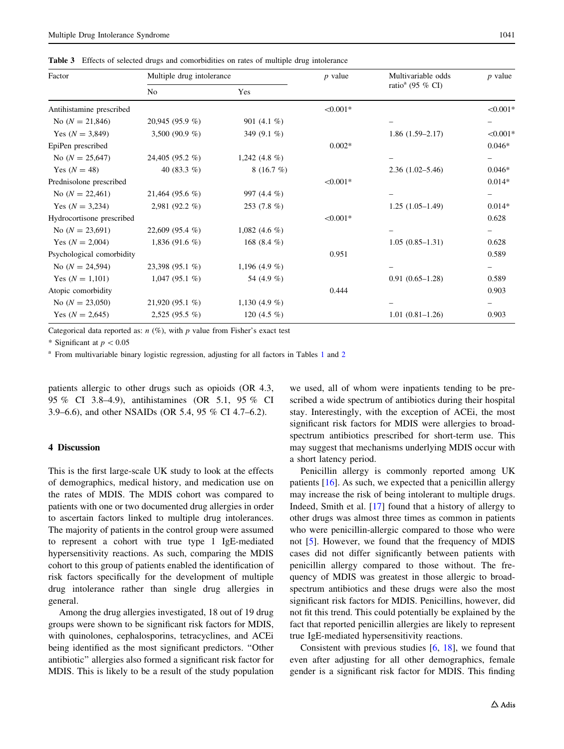<span id="page-4-0"></span>Table 3 Effects of selected drugs and comorbidities on rates of multiple drug intolerance

| Factor                    | Multiple drug intolerance |                 | $p$ value  | Multivariable odds           | $p$ value  |
|---------------------------|---------------------------|-----------------|------------|------------------------------|------------|
|                           | N <sub>0</sub>            | Yes             |            | ratio <sup>a</sup> (95 % CI) |            |
| Antihistamine prescribed  |                           |                 | $< 0.001*$ |                              | $< 0.001*$ |
| No $(N = 21,846)$         | 20,945 (95.9 %)           | 901 $(4.1\%$    |            |                              |            |
| Yes $(N = 3,849)$         | 3,500 (90.9 $%$ )         | 349 $(9.1\%)$   |            | $1.86(1.59-2.17)$            | $< 0.001*$ |
| EpiPen prescribed         |                           |                 | $0.002*$   |                              | $0.046*$   |
| No $(N = 25,647)$         | 24,405 (95.2 %)           | 1,242 $(4.8\%)$ |            |                              | -          |
| Yes $(N = 48)$            | 40 $(83.3\%)$             | 8(16.7%)        |            | $2.36(1.02 - 5.46)$          | $0.046*$   |
| Prednisolone prescribed   |                           |                 | $< 0.001*$ |                              | $0.014*$   |
| No $(N = 22,461)$         | 21,464 (95.6 %)           | 997 $(4.4\%$    |            |                              | -          |
| Yes $(N = 3,234)$         | 2,981 $(92.2\%$           | $253(7.8\%)$    |            | $1.25(1.05-1.49)$            | $0.014*$   |
| Hydrocortisone prescribed |                           |                 | $< 0.001*$ |                              | 0.628      |
| No $(N = 23,691)$         | $22,609$ (95.4 %)         | 1,082 $(4.6\%$  |            |                              |            |
| Yes $(N = 2,004)$         | 1,836 (91.6 $%$ )         | 168 (8.4 $%$ )  |            | $1.05(0.85-1.31)$            | 0.628      |
| Psychological comorbidity |                           |                 | 0.951      |                              | 0.589      |
| No $(N = 24,594)$         | $23,398$ (95.1 %)         | 1,196 $(4.9\%$  |            |                              |            |
| Yes $(N = 1,101)$         | $1,047(95.1\%)$           | 54 (4.9 %)      |            | $0.91(0.65-1.28)$            | 0.589      |
| Atopic comorbidity        |                           |                 | 0.444      |                              | 0.903      |
| No $(N = 23,050)$         | $21,920(95.1\%)$          | 1,130 $(4.9\%)$ |            |                              | -          |
| Yes $(N = 2,645)$         | $2,525(95.5\%)$           | 120 $(4.5\%$    |            | $1.01(0.81-1.26)$            | 0.903      |

Categorical data reported as:  $n$  (%), with p value from Fisher's exact test

\* Significant at  $p < 0.05$ 

<sup>a</sup> From multivariable binary logistic regression, adjusting for all factors in Tables [1](#page-1-0) and [2](#page-3-0)

patients allergic to other drugs such as opioids (OR 4.3, 95 % CI 3.8–4.9), antihistamines (OR 5.1, 95 % CI 3.9–6.6), and other NSAIDs (OR 5.4, 95 % CI 4.7–6.2).

## 4 Discussion

This is the first large-scale UK study to look at the effects of demographics, medical history, and medication use on the rates of MDIS. The MDIS cohort was compared to patients with one or two documented drug allergies in order to ascertain factors linked to multiple drug intolerances. The majority of patients in the control group were assumed to represent a cohort with true type 1 IgE-mediated hypersensitivity reactions. As such, comparing the MDIS cohort to this group of patients enabled the identification of risk factors specifically for the development of multiple drug intolerance rather than single drug allergies in general.

Among the drug allergies investigated, 18 out of 19 drug groups were shown to be significant risk factors for MDIS, with quinolones, cephalosporins, tetracyclines, and ACEi being identified as the most significant predictors. ''Other antibiotic'' allergies also formed a significant risk factor for MDIS. This is likely to be a result of the study population we used, all of whom were inpatients tending to be prescribed a wide spectrum of antibiotics during their hospital stay. Interestingly, with the exception of ACEi, the most significant risk factors for MDIS were allergies to broadspectrum antibiotics prescribed for short-term use. This may suggest that mechanisms underlying MDIS occur with a short latency period.

Penicillin allergy is commonly reported among UK patients [\[16](#page-8-0)]. As such, we expected that a penicillin allergy may increase the risk of being intolerant to multiple drugs. Indeed, Smith et al. [\[17](#page-8-0)] found that a history of allergy to other drugs was almost three times as common in patients who were penicillin-allergic compared to those who were not [\[5](#page-7-0)]. However, we found that the frequency of MDIS cases did not differ significantly between patients with penicillin allergy compared to those without. The frequency of MDIS was greatest in those allergic to broadspectrum antibiotics and these drugs were also the most significant risk factors for MDIS. Penicillins, however, did not fit this trend. This could potentially be explained by the fact that reported penicillin allergies are likely to represent true IgE-mediated hypersensitivity reactions.

Consistent with previous studies  $[6, 18]$  $[6, 18]$  $[6, 18]$  $[6, 18]$ , we found that even after adjusting for all other demographics, female gender is a significant risk factor for MDIS. This finding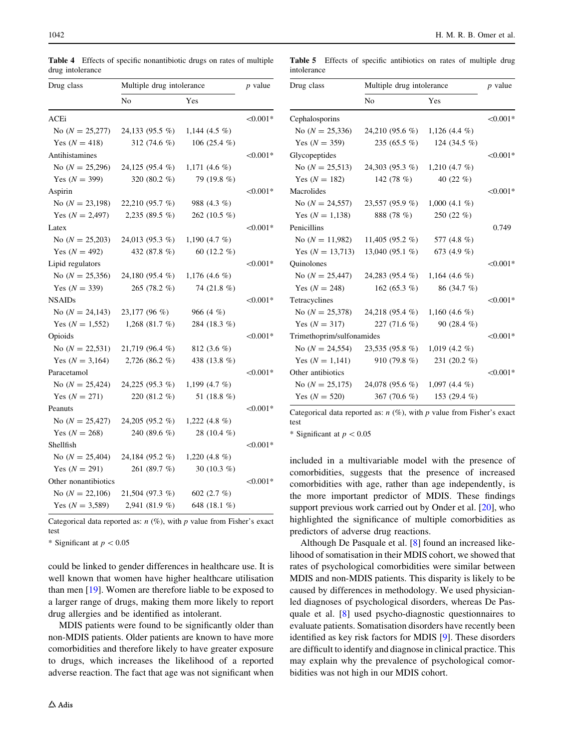<span id="page-5-0"></span>Table 4 Effects of specific nonantibiotic drugs on rates of multiple drug intolerance

Table 5 Effects of specific antibiotics on rates of multiple drug intolerance

Drug class Multiple drug intolerance p value

| Drug class                        | Multiple drug intolerance | $p$ value        |            |
|-----------------------------------|---------------------------|------------------|------------|
|                                   | N <sub>o</sub>            | Yes              |            |
| ACEi                              |                           |                  | $< 0.001*$ |
| No $(N = 25,277)$                 | 24,133 (95.5 %)           | 1,144 (4.5 $%$ ) |            |
| Yes $(N = 418)$                   | 312 $(74.6\%$             | 106 (25.4 $%$ )  |            |
| Antihistamines                    |                           |                  | $< 0.001*$ |
| No $(N = 25,296)$                 | 24,125 (95.4 %)           | 1,171 $(4.6 \%)$ |            |
| Yes $(N = 399)$                   | 320 (80.2 %)              | 79 (19.8 %)      |            |
| Aspirin                           |                           |                  | $< 0.001*$ |
| No $(N = 23,198)$                 | 22,210 (95.7 %)           | 988 (4.3 %)      |            |
| Yes $(N = 2,497)$                 | 2,235 (89.5 $%$ )         | 262 (10.5 %)     |            |
| Latex                             |                           |                  | $< 0.001*$ |
| No $(N = 25,203)$                 | $24,013$ (95.3 %)         | 1,190 $(4.7 \%)$ |            |
| Yes $(N = 492)$                   | 432 (87.8 %)              | 60 (12.2 %)      |            |
| Lipid regulators                  |                           |                  | $< 0.001*$ |
| No $(N = 25,356)$                 | 24,180 (95.4 %)           | 1,176 (4.6 %)    |            |
| Yes $(N = 339)$                   | $265(78.2\%)$             | 74 (21.8 %)      |            |
| <b>NSAIDs</b>                     |                           |                  | $< 0.001*$ |
| No $(N = 24,143)$ 23,177 (96 %)   |                           | 966 $(4 \%)$     |            |
| Yes $(N = 1,552)$                 | 1,268 (81.7 %)            | 284 (18.3 %)     |            |
| Opioids                           |                           |                  | $< 0.001*$ |
| No $(N = 22,531)$ 21,719 (96.4 %) |                           | 812 (3.6 %)      |            |
| Yes $(N = 3,164)$ 2,726 (86.2 %)  |                           | 438 (13.8 %)     |            |
| Paracetamol                       |                           |                  | $< 0.001*$ |
| No $(N = 25,424)$ 24,225 (95.3 %) |                           | 1,199 $(4.7\%$   |            |
| Yes $(N = 271)$                   | 220 (81.2 %)              | 51 (18.8 %)      |            |
| Peanuts                           |                           |                  | $< 0.001*$ |
| No $(N = 25,427)$                 | 24,205 (95.2 %)           | 1,222 (4.8 $%$ ) |            |
| Yes $(N = 268)$                   | 240 (89.6 %)              | 28 (10.4 %)      |            |
| Shellfish                         |                           |                  | $< 0.001*$ |
| No $(N = 25,404)$                 | 24,184 (95.2 %)           | 1,220 $(4.8\%)$  |            |
| Yes $(N = 291)$                   | 261 (89.7 %)              | 30 (10.3 %)      |            |
| Other nonantibiotics              |                           |                  | $< 0.001*$ |
| No $(N = 22,106)$                 | 21,504 (97.3 %)           | 602 (2.7 %)      |            |
| Yes $(N = 3,589)$                 | 2,941 (81.9 %)            | 648 (18.1 %)     |            |

Categorical data reported as:  $n$  (%), with p value from Fisher's exact test

\* Significant at  $p < 0.05$ 

could be linked to gender differences in healthcare use. It is well known that women have higher healthcare utilisation than men [[19\]](#page-8-0). Women are therefore liable to be exposed to a larger range of drugs, making them more likely to report drug allergies and be identified as intolerant.

MDIS patients were found to be significantly older than non-MDIS patients. Older patients are known to have more comorbidities and therefore likely to have greater exposure to drugs, which increases the likelihood of a reported adverse reaction. The fact that age was not significant when

|                                                 | No              | Yes             |            |  |
|-------------------------------------------------|-----------------|-----------------|------------|--|
| Cephalosporins                                  |                 |                 | $< 0.001*$ |  |
| No $(N = 25,336)$ 24,210 (95.6 %) 1,126 (4.4 %) |                 |                 |            |  |
| Yes $(N = 359)$                                 | $235(65.5\%)$   | 124 (34.5 $%$ ) |            |  |
| Glycopeptides                                   |                 |                 | $< 0.001*$ |  |
| No $(N = 25,513)$ 24,303 (95.3 %) 1,210 (4.7 %) |                 |                 |            |  |
| Yes $(N = 182)$                                 | 142 $(78\%)$    | 40 $(22 \% )$   |            |  |
| Macrolides                                      |                 |                 | $< 0.001*$ |  |
| No $(N = 24,557)$ 23,557 (95.9 %)               |                 | 1,000 (4.1 %)   |            |  |
| Yes $(N = 1,138)$                               | 888 (78 %)      | 250 (22 %)      |            |  |
| Penicillins                                     |                 |                 | 0.749      |  |
| No $(N = 11,982)$ 11,405 (95.2 %)               |                 | 577 (4.8 %)     |            |  |
| Yes $(N = 13,713)$ 13,040 (95.1 %)              |                 | 673 (4.9 $%$ )  |            |  |
| Quinolones                                      |                 |                 | $< 0.001*$ |  |
| No $(N = 25,447)$ 24,283 (95.4 %) 1,164 (4.6 %) |                 |                 |            |  |
| Yes $(N = 248)$                                 | 162 (65.3 $%$ ) | 86 (34.7 %)     |            |  |
| Tetracyclines                                   |                 |                 | $< 0.001*$ |  |
| No $(N = 25,378)$ 24,218 (95.4 %)               |                 | 1,160 $(4.6\%$  |            |  |
| Yes $(N = 317)$                                 | 227 (71.6 $%$ ) | 90 $(28.4\%$    |            |  |
| Trimethoprim/sulfonamides                       |                 |                 |            |  |
| No $(N = 24,554)$ 23,535 (95.8 %) 1,019 (4.2 %) |                 |                 |            |  |
| Yes $(N = 1,141)$                               | 910 (79.8 $%$ ) | 231 (20.2 %)    |            |  |
| Other antibiotics                               |                 |                 | $< 0.001*$ |  |
| No $(N = 25,175)$ 24,078 (95.6 %) 1,097 (4.4 %) |                 |                 |            |  |
| Yes $(N = 520)$                                 | 367 (70.6 %)    | 153 (29.4 %)    |            |  |
|                                                 |                 |                 |            |  |

Categorical data reported as:  $n$  (%), with p value from Fisher's exact test

\* Significant at  $p < 0.05$ 

included in a multivariable model with the presence of comorbidities, suggests that the presence of increased comorbidities with age, rather than age independently, is the more important predictor of MDIS. These findings support previous work carried out by Onder et al. [[20\]](#page-8-0), who highlighted the significance of multiple comorbidities as predictors of adverse drug reactions.

Although De Pasquale et al. [\[8](#page-7-0)] found an increased likelihood of somatisation in their MDIS cohort, we showed that rates of psychological comorbidities were similar between MDIS and non-MDIS patients. This disparity is likely to be caused by differences in methodology. We used physicianled diagnoses of psychological disorders, whereas De Pasquale et al. [[8\]](#page-7-0) used psycho-diagnostic questionnaires to evaluate patients. Somatisation disorders have recently been identified as key risk factors for MDIS [[9\]](#page-7-0). These disorders are difficult to identify and diagnose in clinical practice. This may explain why the prevalence of psychological comorbidities was not high in our MDIS cohort.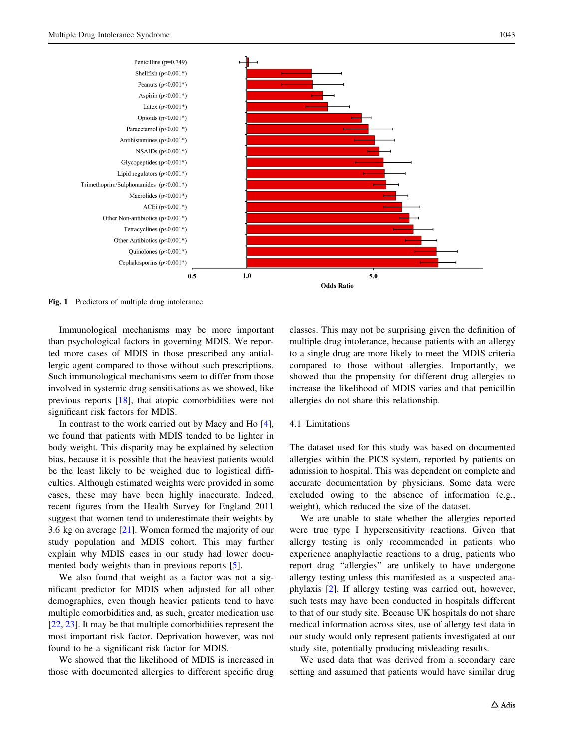<span id="page-6-0"></span>

Fig. 1 Predictors of multiple drug intolerance

Immunological mechanisms may be more important than psychological factors in governing MDIS. We reported more cases of MDIS in those prescribed any antiallergic agent compared to those without such prescriptions. Such immunological mechanisms seem to differ from those involved in systemic drug sensitisations as we showed, like previous reports [\[18](#page-8-0)], that atopic comorbidities were not significant risk factors for MDIS.

In contrast to the work carried out by Macy and Ho [\[4](#page-7-0)], we found that patients with MDIS tended to be lighter in body weight. This disparity may be explained by selection bias, because it is possible that the heaviest patients would be the least likely to be weighed due to logistical difficulties. Although estimated weights were provided in some cases, these may have been highly inaccurate. Indeed, recent figures from the Health Survey for England 2011 suggest that women tend to underestimate their weights by 3.6 kg on average [\[21](#page-8-0)]. Women formed the majority of our study population and MDIS cohort. This may further explain why MDIS cases in our study had lower documented body weights than in previous reports [\[5](#page-7-0)].

We also found that weight as a factor was not a significant predictor for MDIS when adjusted for all other demographics, even though heavier patients tend to have multiple comorbidities and, as such, greater medication use [\[22](#page-8-0), [23](#page-8-0)]. It may be that multiple comorbidities represent the most important risk factor. Deprivation however, was not found to be a significant risk factor for MDIS.

We showed that the likelihood of MDIS is increased in those with documented allergies to different specific drug

classes. This may not be surprising given the definition of multiple drug intolerance, because patients with an allergy to a single drug are more likely to meet the MDIS criteria compared to those without allergies. Importantly, we showed that the propensity for different drug allergies to increase the likelihood of MDIS varies and that penicillin allergies do not share this relationship.

## 4.1 Limitations

The dataset used for this study was based on documented allergies within the PICS system, reported by patients on admission to hospital. This was dependent on complete and accurate documentation by physicians. Some data were excluded owing to the absence of information (e.g., weight), which reduced the size of the dataset.

We are unable to state whether the allergies reported were true type I hypersensitivity reactions. Given that allergy testing is only recommended in patients who experience anaphylactic reactions to a drug, patients who report drug ''allergies'' are unlikely to have undergone allergy testing unless this manifested as a suspected anaphylaxis [[2\]](#page-7-0). If allergy testing was carried out, however, such tests may have been conducted in hospitals different to that of our study site. Because UK hospitals do not share medical information across sites, use of allergy test data in our study would only represent patients investigated at our study site, potentially producing misleading results.

We used data that was derived from a secondary care setting and assumed that patients would have similar drug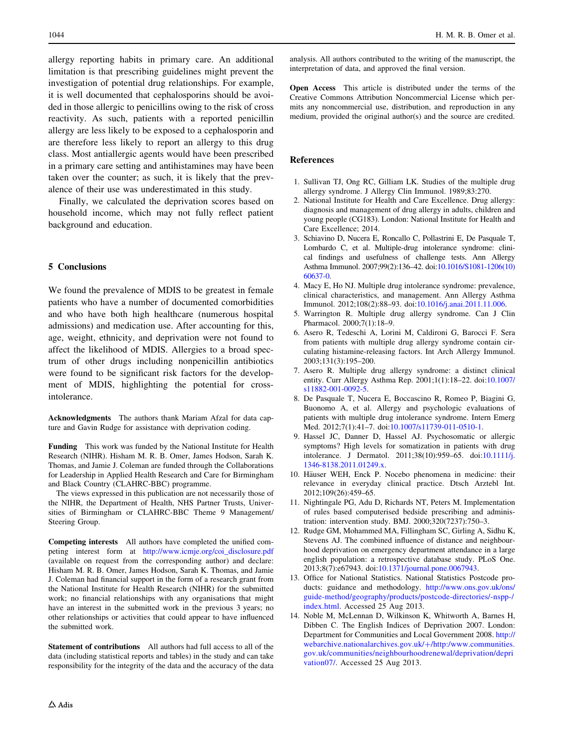<span id="page-7-0"></span>allergy reporting habits in primary care. An additional limitation is that prescribing guidelines might prevent the investigation of potential drug relationships. For example, it is well documented that cephalosporins should be avoided in those allergic to penicillins owing to the risk of cross reactivity. As such, patients with a reported penicillin allergy are less likely to be exposed to a cephalosporin and are therefore less likely to report an allergy to this drug class. Most antiallergic agents would have been prescribed in a primary care setting and antihistamines may have been taken over the counter; as such, it is likely that the prevalence of their use was underestimated in this study.

Finally, we calculated the deprivation scores based on household income, which may not fully reflect patient background and education.

#### 5 Conclusions

We found the prevalence of MDIS to be greatest in female patients who have a number of documented comorbidities and who have both high healthcare (numerous hospital admissions) and medication use. After accounting for this, age, weight, ethnicity, and deprivation were not found to affect the likelihood of MDIS. Allergies to a broad spectrum of other drugs including nonpenicillin antibiotics were found to be significant risk factors for the development of MDIS, highlighting the potential for crossintolerance.

Acknowledgments The authors thank Mariam Afzal for data capture and Gavin Rudge for assistance with deprivation coding.

Funding This work was funded by the National Institute for Health Research (NIHR). Hisham M. R. B. Omer, James Hodson, Sarah K. Thomas, and Jamie J. Coleman are funded through the Collaborations for Leadership in Applied Health Research and Care for Birmingham and Black Country (CLAHRC-BBC) programme.

The views expressed in this publication are not necessarily those of the NIHR, the Department of Health, NHS Partner Trusts, Universities of Birmingham or CLAHRC-BBC Theme 9 Management/ Steering Group.

Competing interests All authors have completed the unified competing interest form at [http://www.icmje.org/coi\\_disclosure.pdf](http://www.icmje.org/coi_disclosure.pdf) (available on request from the corresponding author) and declare: Hisham M. R. B. Omer, James Hodson, Sarah K. Thomas, and Jamie J. Coleman had financial support in the form of a research grant from the National Institute for Health Research (NIHR) for the submitted work; no financial relationships with any organisations that might have an interest in the submitted work in the previous 3 years; no other relationships or activities that could appear to have influenced the submitted work.

Statement of contributions All authors had full access to all of the data (including statistical reports and tables) in the study and can take responsibility for the integrity of the data and the accuracy of the data

analysis. All authors contributed to the writing of the manuscript, the interpretation of data, and approved the final version.

Open Access This article is distributed under the terms of the Creative Commons Attribution Noncommercial License which permits any noncommercial use, distribution, and reproduction in any medium, provided the original author(s) and the source are credited.

## References

- 1. Sullivan TJ, Ong RC, Gilliam LK. Studies of the multiple drug allergy syndrome. J Allergy Clin Immunol. 1989;83:270.
- 2. National Institute for Health and Care Excellence. Drug allergy: diagnosis and management of drug allergy in adults, children and young people (CG183). London: National Institute for Health and Care Excellence; 2014.
- 3. Schiavino D, Nucera E, Roncallo C, Pollastrini E, De Pasquale T, Lombardo C, et al. Multiple-drug intolerance syndrome: clinical findings and usefulness of challenge tests. Ann Allergy Asthma Immunol. 2007;99(2):136–42. doi[:10.1016/S1081-1206\(10\)](http://dx.doi.org/10.1016/S1081-1206(10)60637-0) [60637-0.](http://dx.doi.org/10.1016/S1081-1206(10)60637-0)
- 4. Macy E, Ho NJ. Multiple drug intolerance syndrome: prevalence, clinical characteristics, and management. Ann Allergy Asthma Immunol. 2012;108(2):88–93. doi[:10.1016/j.anai.2011.11.006.](http://dx.doi.org/10.1016/j.anai.2011.11.006)
- 5. Warrington R. Multiple drug allergy syndrome. Can J Clin Pharmacol. 2000;7(1):18–9.
- 6. Asero R, Tedeschi A, Lorini M, Caldironi G, Barocci F. Sera from patients with multiple drug allergy syndrome contain circulating histamine-releasing factors. Int Arch Allergy Immunol. 2003;131(3):195–200.
- 7. Asero R. Multiple drug allergy syndrome: a distinct clinical entity. Curr Allergy Asthma Rep. 2001;1(1):18–22. doi[:10.1007/](http://dx.doi.org/10.1007/s11882-001-0092-5) [s11882-001-0092-5](http://dx.doi.org/10.1007/s11882-001-0092-5).
- 8. De Pasquale T, Nucera E, Boccascino R, Romeo P, Biagini G, Buonomo A, et al. Allergy and psychologic evaluations of patients with multiple drug intolerance syndrome. Intern Emerg Med. 2012;7(1):41–7. doi[:10.1007/s11739-011-0510-1.](http://dx.doi.org/10.1007/s11739-011-0510-1)
- 9. Hassel JC, Danner D, Hassel AJ. Psychosomatic or allergic symptoms? High levels for somatization in patients with drug intolerance. J Dermatol. 2011;38(10):959–65. doi:[10.1111/j.](http://dx.doi.org/10.1111/j.1346-8138.2011.01249.x) [1346-8138.2011.01249.x](http://dx.doi.org/10.1111/j.1346-8138.2011.01249.x).
- 10. Häuser WEH, Enck P. Nocebo phenomena in medicine: their relevance in everyday clinical practice. Dtsch Arztebl Int. 2012;109(26):459–65.
- 11. Nightingale PG, Adu D, Richards NT, Peters M. Implementation of rules based computerised bedside prescribing and administration: intervention study. BMJ. 2000;320(7237):750–3.
- 12. Rudge GM, Mohammed MA, Fillingham SC, Girling A, Sidhu K, Stevens AJ. The combined influence of distance and neighbourhood deprivation on emergency department attendance in a large english population: a retrospective database study. PLoS One. 2013;8(7):e67943. doi:[10.1371/journal.pone.0067943](http://dx.doi.org/10.1371/journal.pone.0067943).
- 13. Office for National Statistics. National Statistics Postcode products: guidance and methodology. [http://www.ons.gov.uk/ons/](http://www.ons.gov.uk/ons/guide-method/geography/products/postcode-directories/-nspp-/index.html) [guide-method/geography/products/postcode-directories/-nspp-/](http://www.ons.gov.uk/ons/guide-method/geography/products/postcode-directories/-nspp-/index.html) [index.html.](http://www.ons.gov.uk/ons/guide-method/geography/products/postcode-directories/-nspp-/index.html) Accessed 25 Aug 2013.
- 14. Noble M, McLennan D, Wilkinson K, Whitworth A, Barnes H, Dibben C. The English Indices of Deprivation 2007. London: Department for Communities and Local Government 2008. [http://](http://webarchive.nationalarchives.gov.uk/%2b/http:/www.communities.gov.uk/communities/neighbourhoodrenewal/deprivation/deprivation07/) [webarchive.nationalarchives.gov.uk/](http://webarchive.nationalarchives.gov.uk/%2b/http:/www.communities.gov.uk/communities/neighbourhoodrenewal/deprivation/deprivation07/)+/http:/www.communities. [gov.uk/communities/neighbourhoodrenewal/deprivation/depri](http://webarchive.nationalarchives.gov.uk/%2b/http:/www.communities.gov.uk/communities/neighbourhoodrenewal/deprivation/deprivation07/) [vation07/.](http://webarchive.nationalarchives.gov.uk/%2b/http:/www.communities.gov.uk/communities/neighbourhoodrenewal/deprivation/deprivation07/) Accessed 25 Aug 2013.